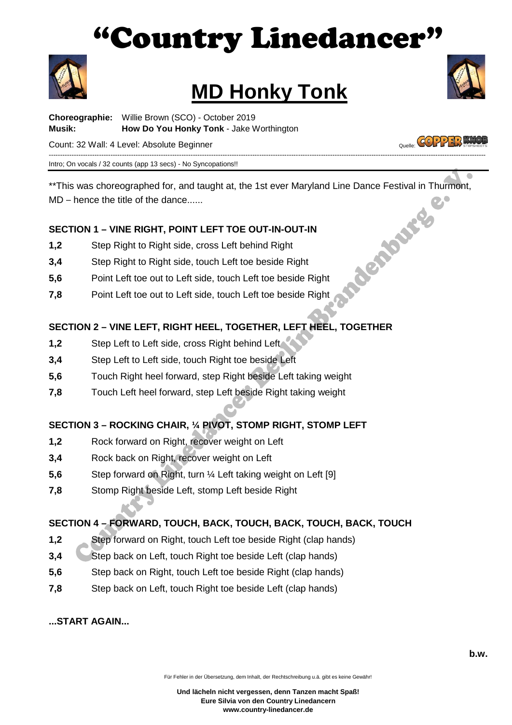## Country Linedancer"



# **MD Honky Tonk**<br>Choreographie: Willie Brown (SCO) - October 2019



**Musik: How Do You Honky Tonk** - Jake Worthington Count[:](http://www.copperknob.co.uk/) 32 Wall: 4 Level: Absolute Beginner Count: 32 Wall: 4 Level: Absolute Beginner

----------------------------------------------------------------------------------------------------------------------------------------------------------------------------------------------- Intro; On vocals / 32 counts (app 13 secs) - No Syncopations!!

\*\*This was choreographed for, and taught at, the 1st ever Maryland Line Dance Festival in Thurmont,<br>
MD – hence the title of the dance......<br>
SECTION 1 – VINE RIGHT, POINT LEFT TOE OUT-IN-OUT-IN<br>
1,2 Step Right to Right si MD – hence the title of the dance......

#### **SECTION 1 – VINE RIGHT, POINT LEFT TOE OUT-IN-OUT-IN**

- **1,2** Step Right to Right side, cross Left behind Right
- **3,4** Step Right to Right side, touch Left toe beside Right
- **5,6** Point Left toe out to Left side, touch Left toe beside Right
- **7,8** Point Left toe out to Left side, touch Left toe beside Right

#### **SECTION 2 – VINE LEFT, RIGHT HEEL, TOGETHER, LEFT HEEL, TOGETHER**

- 1.2 Step Left to Left side, cross Right behind Left
- **3,4** Step Left to Left side, touch Right toe beside Left
- **5,6** Touch Right heel forward, step Right beside Left taking weight
- **7,8** Touch Left heel forward, step Left beside Right taking weight

#### **SECTION 3 – ROCKING CHAIR, ¼ PIVOT, STOMP RIGHT, STOMP LEFT**

- **1,2** Rock forward on Right, recover weight on Left
- **3,4** Rock back on Right, recover weight on Left
- **5,6** Step forward on Right, turn ¼ Left taking weight on Left [9]
- **7,8** Stomp Right beside Left, stomp Left beside Right

#### **SECTION 4 – FORWARD, TOUCH, BACK, TOUCH, BACK, TOUCH, BACK, TOUCH**

- **1,2** Step forward on Right, touch Left toe beside Right (clap hands)
- **3.4** Step back on Left, touch Right toe beside Left (clap hands)
- **5,6** Step back on Right, touch Left toe beside Right (clap hands)
- **7,8** Step back on Left, touch Right toe beside Left (clap hands)

**...START AGAIN...**

Für Fehler in der Übersetzung, dem Inhalt, der Rechtschreibung u.ä. gibt es keine Gewähr!